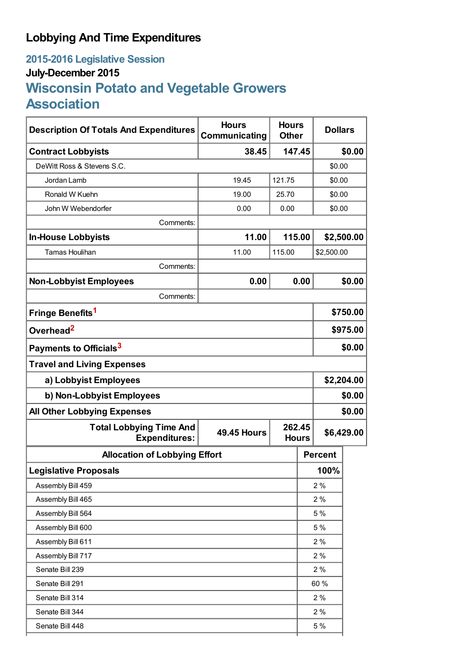## **Lobbying And Time Expenditures**

## **2015-2016 Legislative Session July-December 2015 Wisconsin Potato and Vegetable Growers Association**

| <b>Description Of Totals And Expenditures</b>          | <b>Hours</b><br>Communicating | <b>Hours</b><br><b>Other</b> |     | <b>Dollars</b> |        |
|--------------------------------------------------------|-------------------------------|------------------------------|-----|----------------|--------|
| <b>Contract Lobbyists</b>                              | 38.45                         | 147.45                       |     | \$0.00         |        |
| DeWitt Ross & Stevens S.C.                             |                               |                              |     | \$0.00         |        |
| Jordan Lamb                                            | 19.45                         | 121.75                       |     | \$0.00         |        |
| Ronald W Kuehn                                         | 19.00                         | 25.70                        |     | \$0.00         |        |
| John W Webendorfer                                     | 0.00                          | 0.00                         |     | \$0.00         |        |
| Comments:                                              |                               |                              |     |                |        |
| <b>In-House Lobbyists</b>                              | 11.00                         | 115.00                       |     | \$2,500.00     |        |
| <b>Tamas Houlihan</b>                                  | 11.00                         | 115.00                       |     | \$2,500.00     |        |
| Comments:                                              |                               |                              |     |                |        |
| <b>Non-Lobbyist Employees</b>                          | 0.00                          | 0.00                         |     | \$0.00         |        |
| Comments:                                              |                               |                              |     |                |        |
| Fringe Benefits <sup>1</sup>                           |                               |                              |     | \$750.00       |        |
| Overhead <sup>2</sup>                                  |                               |                              |     | \$975.00       |        |
| Payments to Officials <sup>3</sup>                     |                               |                              |     | \$0.00         |        |
| <b>Travel and Living Expenses</b>                      |                               |                              |     |                |        |
| a) Lobbyist Employees                                  |                               |                              |     | \$2,204.00     |        |
| b) Non-Lobbyist Employees                              |                               |                              |     | \$0.00         |        |
| <b>All Other Lobbying Expenses</b>                     |                               |                              |     |                | \$0.00 |
| <b>Total Lobbying Time And</b><br><b>Expenditures:</b> | <b>49.45 Hours</b>            | 262.45<br><b>Hours</b>       |     | \$6,429.00     |        |
| <b>Allocation of Lobbying Effort</b>                   |                               |                              |     | <b>Percent</b> |        |
| <b>Legislative Proposals</b>                           |                               |                              |     | 100%           |        |
| Assembly Bill 459                                      |                               |                              | 2%  |                |        |
| Assembly Bill 465                                      |                               |                              | 2%  |                |        |
| Assembly Bill 564                                      |                               |                              | 5 % |                |        |
| Assembly Bill 600                                      |                               |                              | 5 % |                |        |
| Assembly Bill 611                                      |                               |                              | 2%  |                |        |
| Assembly Bill 717                                      |                               |                              | 2%  |                |        |
| Senate Bill 239                                        |                               |                              | 2%  |                |        |
| Senate Bill 291                                        |                               |                              |     | 60 %           |        |
| Senate Bill 314                                        |                               |                              |     | 2%             |        |
| Senate Bill 344                                        |                               |                              |     | 2%             |        |
| Senate Bill 448                                        |                               |                              |     | 5 %            |        |